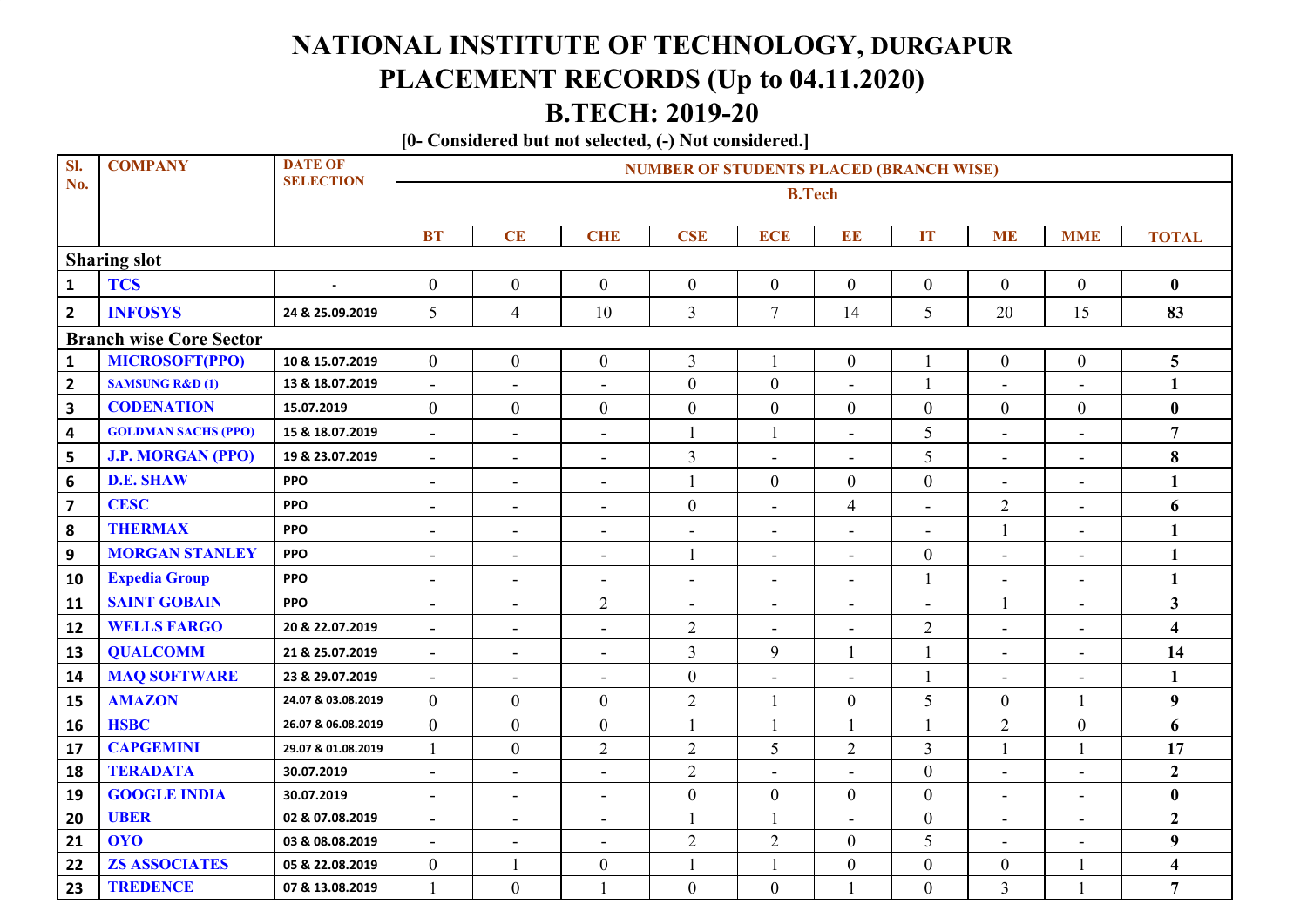## **NATIONAL INSTITUTE OF TECHNOLOGY, DURGAPUR PLACEMENT RECORDS (Up to 04.11.2020) B.TECH: 2019-20**

**[0- Considered but not selected, (-) Not considered.]**

| SI.                            | <b>COMPANY</b>             | <b>DATE OF</b>     | <b>NUMBER OF STUDENTS PLACED (BRANCH WISE)</b> |                              |                          |                          |                          |                          |                              |                          |                          |                         |  |
|--------------------------------|----------------------------|--------------------|------------------------------------------------|------------------------------|--------------------------|--------------------------|--------------------------|--------------------------|------------------------------|--------------------------|--------------------------|-------------------------|--|
| No.                            |                            | <b>SELECTION</b>   | <b>B.Tech</b>                                  |                              |                          |                          |                          |                          |                              |                          |                          |                         |  |
|                                |                            |                    |                                                |                              |                          |                          |                          |                          |                              |                          |                          |                         |  |
|                                |                            |                    | <b>BT</b>                                      | CE                           | <b>CHE</b>               | <b>CSE</b>               | <b>ECE</b>               | EE                       | <b>IT</b>                    | <b>ME</b>                | <b>MME</b>               | <b>TOTAL</b>            |  |
| <b>Sharing slot</b>            |                            |                    |                                                |                              |                          |                          |                          |                          |                              |                          |                          |                         |  |
| $\mathbf{1}$                   | <b>TCS</b>                 |                    | $\boldsymbol{0}$                               | $\boldsymbol{0}$             | $\boldsymbol{0}$         | $\overline{0}$           | $\boldsymbol{0}$         | $\boldsymbol{0}$         | $\overline{0}$               | $\mathbf{0}$             | $\overline{0}$           | $\bf{0}$                |  |
| $\overline{2}$                 | <b>INFOSYS</b>             | 24 & 25.09.2019    | 5                                              | $\overline{4}$               | 10                       | $\overline{3}$           | $\overline{7}$           | 14                       | 5                            | 20                       | 15                       | 83                      |  |
| <b>Branch wise Core Sector</b> |                            |                    |                                                |                              |                          |                          |                          |                          |                              |                          |                          |                         |  |
| $\mathbf 1$                    | <b>MICROSOFT(PPO)</b>      | 10 & 15.07.2019    | $\overline{0}$                                 | $\overline{0}$               | $\boldsymbol{0}$         | $\overline{3}$           |                          | $\boldsymbol{0}$         | 1                            | $\boldsymbol{0}$         | $\overline{0}$           | 5                       |  |
| $\overline{2}$                 | <b>SAMSUNG R&amp;D (1)</b> | 13 & 18.07.2019    | $\overline{a}$                                 | $\overline{a}$               | $\sim$                   | $\overline{0}$           | $\mathbf{0}$             | $\overline{a}$           | $\mathbf{1}$                 | $\overline{a}$           | $\overline{a}$           | $\mathbf{1}$            |  |
| $\overline{\mathbf{3}}$        | <b>CODENATION</b>          | 15.07.2019         | $\overline{0}$                                 | $\boldsymbol{0}$             | $\boldsymbol{0}$         | $\boldsymbol{0}$         | $\boldsymbol{0}$         | $\boldsymbol{0}$         | $\boldsymbol{0}$             | $\boldsymbol{0}$         | $\overline{0}$           | $\bf{0}$                |  |
| $\overline{\mathbf{4}}$        | <b>GOLDMAN SACHS (PPO)</b> | 15 & 18.07.2019    | $\sim$                                         | $\blacksquare$               | $\blacksquare$           | $\mathbf{1}$             | $\mathbf{1}$             | $\blacksquare$           | 5                            | $\blacksquare$           | $\sim$                   | $\overline{7}$          |  |
| 5                              | <b>J.P. MORGAN (PPO)</b>   | 19 & 23.07.2019    | $\blacksquare$                                 | $\blacksquare$               | $\overline{\phantom{a}}$ | $\overline{3}$           | $\overline{\phantom{a}}$ | $\overline{\phantom{a}}$ | 5                            | $\blacksquare$           | $\blacksquare$           | 8                       |  |
| $\boldsymbol{6}$               | <b>D.E. SHAW</b>           | <b>PPO</b>         | $\blacksquare$                                 | $\blacksquare$               | $\overline{\phantom{a}}$ | $\mathbf{1}$             | $\boldsymbol{0}$         | $\boldsymbol{0}$         | $\overline{0}$               | $\blacksquare$           | $\overline{\phantom{a}}$ | $\mathbf{1}$            |  |
| $\overline{\mathbf{z}}$        | <b>CESC</b>                | <b>PPO</b>         | $\overline{\phantom{a}}$                       | $\blacksquare$               | $\overline{\phantom{a}}$ | $\boldsymbol{0}$         | ٠                        | $\overline{4}$           | $\qquad \qquad \blacksquare$ | $\sqrt{2}$               | $\overline{\phantom{a}}$ | 6                       |  |
| ${\bf 8}$                      | <b>THERMAX</b>             | <b>PPO</b>         | $\overline{\phantom{a}}$                       | $\blacksquare$               | $\blacksquare$           | $\blacksquare$           | $\overline{\phantom{a}}$ | $\blacksquare$           | $\overline{\phantom{0}}$     | $\mathbf{1}$             | $\sim$                   | $\mathbf{1}$            |  |
| 9                              | <b>MORGAN STANLEY</b>      | <b>PPO</b>         | $\blacksquare$                                 | $\blacksquare$               | $\blacksquare$           | $\mathbf{1}$             | ä,                       | $\sim$                   | $\boldsymbol{0}$             | $\blacksquare$           | $\sim$                   | $\mathbf{1}$            |  |
| 10                             | <b>Expedia Group</b>       | <b>PPO</b>         | $\blacksquare$                                 | $\blacksquare$               | $\blacksquare$           | $\blacksquare$           | $\blacksquare$           | $\blacksquare$           | $\mathbf{1}$                 | ÷,                       | $\blacksquare$           | $\mathbf{1}$            |  |
| 11                             | <b>SAINT GOBAIN</b>        | <b>PPO</b>         | $\blacksquare$                                 | $\overline{\phantom{a}}$     | $\overline{2}$           | $\overline{\phantom{a}}$ | $\blacksquare$           | $\blacksquare$           | $\blacksquare$               | $\mathbf{1}$             | $\overline{\phantom{a}}$ | $\mathbf{3}$            |  |
| 12                             | <b>WELLS FARGO</b>         | 20 & 22.07.2019    | $\blacksquare$                                 | $\blacksquare$               | $\blacksquare$           | $\overline{2}$           | ÷,                       | $\blacksquare$           | $\overline{2}$               | $\blacksquare$           | $\blacksquare$           | $\overline{\mathbf{4}}$ |  |
| 13                             | <b>QUALCOMM</b>            | 21 & 25.07.2019    | $\blacksquare$                                 | $\overline{\phantom{a}}$     | $\overline{\phantom{a}}$ | $\overline{3}$           | 9                        |                          | 1                            | $\overline{\phantom{a}}$ | $\overline{\phantom{a}}$ | 14                      |  |
| 14                             | <b>MAQ SOFTWARE</b>        | 23 & 29.07.2019    | $\blacksquare$                                 | $\blacksquare$               | $\overline{\phantom{a}}$ | $\boldsymbol{0}$         | $\blacksquare$           | $\blacksquare$           | $\mathbf{1}$                 | $\overline{\phantom{a}}$ | $\blacksquare$           | 1                       |  |
| 15                             | <b>AMAZON</b>              | 24.07 & 03.08.2019 | $\mathbf{0}$                                   | $\boldsymbol{0}$             | $\boldsymbol{0}$         | $\overline{2}$           |                          | $\boldsymbol{0}$         | 5                            | $\boldsymbol{0}$         |                          | $\boldsymbol{9}$        |  |
| 16                             | <b>HSBC</b>                | 26.07 & 06.08.2019 | $\theta$                                       | $\overline{0}$               | $\boldsymbol{0}$         | $\mathbf{1}$             |                          | $\mathbf{1}$             | $\mathbf{1}$                 | $\overline{2}$           | $\boldsymbol{0}$         | 6                       |  |
| 17                             | <b>CAPGEMINI</b>           | 29.07 & 01.08.2019 | $\mathbf{1}$                                   | $\overline{0}$               | $\overline{2}$           | $\overline{2}$           | 5                        | $\overline{2}$           | $\overline{3}$               | 1                        |                          | 17                      |  |
| 18                             | <b>TERADATA</b>            | 30.07.2019         | $\blacksquare$                                 | $\blacksquare$               | $\equiv$                 | $\overline{2}$           | L.                       | $\overline{a}$           | $\overline{0}$               | $\overline{\phantom{a}}$ | $\blacksquare$           | $\overline{2}$          |  |
| 19                             | <b>GOOGLE INDIA</b>        | 30.07.2019         | $\blacksquare$                                 | $\blacksquare$               | $\overline{\phantom{a}}$ | $\boldsymbol{0}$         | $\boldsymbol{0}$         | $\boldsymbol{0}$         | $\boldsymbol{0}$             | $\blacksquare$           | $\overline{\phantom{a}}$ | $\bf{0}$                |  |
| 20                             | <b>UBER</b>                | 02 & 07.08.2019    | $\blacksquare$                                 | $\qquad \qquad \blacksquare$ | $\blacksquare$           | $\mathbf{1}$             |                          | $\blacksquare$           | $\boldsymbol{0}$             | $\overline{\phantom{a}}$ | $\blacksquare$           | $\overline{2}$          |  |
| 21                             | <b>OYO</b>                 | 03 & 08.08.2019    | $\blacksquare$                                 | $\blacksquare$               | $\overline{a}$           | $\overline{2}$           | $\overline{2}$           | $\boldsymbol{0}$         | 5                            | ÷,                       | $\overline{\phantom{a}}$ | 9                       |  |
| 22                             | <b>ZS ASSOCIATES</b>       | 05 & 22.08.2019    | $\mathbf{0}$                                   |                              | $\boldsymbol{0}$         | $\mathbf{1}$             |                          | $\boldsymbol{0}$         | $\boldsymbol{0}$             | $\boldsymbol{0}$         |                          | 4                       |  |
| 23                             | <b>TREDENCE</b>            | 07 & 13.08.2019    | $\mathbf{1}$                                   | $\boldsymbol{0}$             |                          | $\boldsymbol{0}$         | $\boldsymbol{0}$         |                          | $\overline{0}$               | $\overline{3}$           |                          | $\overline{7}$          |  |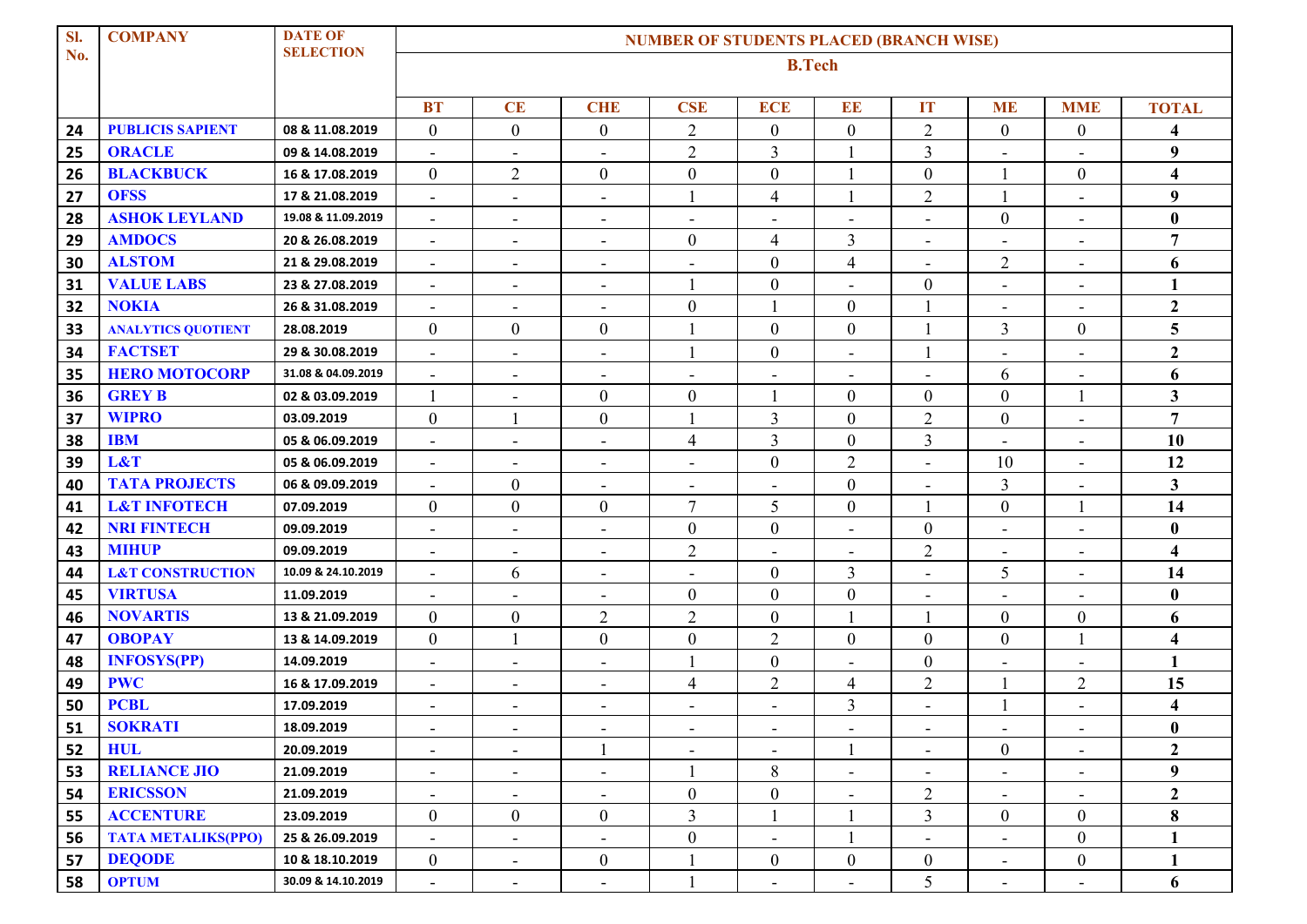| SI. | <b>COMPANY</b>              | <b>DATE OF</b>     | <b>NUMBER OF STUDENTS PLACED (BRANCH WISE)</b> |                              |                              |                          |                          |                              |                          |                          |                              |                         |  |
|-----|-----------------------------|--------------------|------------------------------------------------|------------------------------|------------------------------|--------------------------|--------------------------|------------------------------|--------------------------|--------------------------|------------------------------|-------------------------|--|
| No. |                             | <b>SELECTION</b>   | <b>B.Tech</b>                                  |                              |                              |                          |                          |                              |                          |                          |                              |                         |  |
|     |                             |                    |                                                |                              |                              |                          |                          |                              |                          |                          |                              |                         |  |
|     |                             |                    | <b>BT</b>                                      | CE                           | <b>CHE</b>                   | <b>CSE</b>               | <b>ECE</b>               | EE                           | <b>IT</b>                | <b>ME</b>                | <b>MME</b>                   | <b>TOTAL</b>            |  |
| 24  | <b>PUBLICIS SAPIENT</b>     | 08 & 11.08.2019    | $\overline{0}$                                 | $\overline{0}$               | $\boldsymbol{0}$             | $\overline{2}$           | $\boldsymbol{0}$         | $\boldsymbol{0}$             | $\overline{2}$           | $\boldsymbol{0}$         | $\boldsymbol{0}$             | 4                       |  |
| 25  | <b>ORACLE</b>               | 09 & 14.08.2019    | $\overline{\phantom{a}}$                       | $\overline{\phantom{a}}$     | $\overline{\phantom{a}}$     | $\overline{2}$           | $\overline{3}$           |                              | 3                        | $\overline{\phantom{a}}$ | $\blacksquare$               | 9                       |  |
| 26  | <b>BLACKBUCK</b>            | 16 & 17.08.2019    | $\overline{0}$                                 | $\mathbf{2}$                 | $\boldsymbol{0}$             | $\boldsymbol{0}$         | $\boldsymbol{0}$         |                              | $\boldsymbol{0}$         |                          | $\boldsymbol{0}$             | $\overline{\mathbf{4}}$ |  |
| 27  | <b>OFSS</b>                 | 17 & 21.08.2019    | $\blacksquare$                                 | $\blacksquare$               | $\overline{\phantom{a}}$     | 1                        | $\overline{4}$           |                              | $\overline{c}$           |                          | $\blacksquare$               | 9                       |  |
| 28  | <b>ASHOK LEYLAND</b>        | 19.08 & 11.09.2019 | $\blacksquare$                                 | $\overline{\phantom{a}}$     | $\overline{\phantom{0}}$     | $\blacksquare$           | $\overline{\phantom{a}}$ | ٠                            | $\overline{\phantom{a}}$ | $\boldsymbol{0}$         | $\blacksquare$               | $\bf{0}$                |  |
| 29  | <b>AMDOCS</b>               | 20 & 26.08.2019    | $\blacksquare$                                 | ٠                            | $\overline{\phantom{a}}$     | $\boldsymbol{0}$         | $\overline{4}$           | $\mathfrak{Z}$               | $\overline{\phantom{a}}$ | $\overline{\phantom{a}}$ | $\overline{\phantom{a}}$     | $\overline{7}$          |  |
| 30  | <b>ALSTOM</b>               | 21 & 29.08.2019    |                                                |                              |                              | $\blacksquare$           | $\boldsymbol{0}$         | $\overline{4}$               |                          | $\overline{2}$           | $\blacksquare$               | 6                       |  |
| 31  | <b>VALUE LABS</b>           | 23 & 27.08.2019    |                                                | $\overline{\phantom{a}}$     | $\qquad \qquad \blacksquare$ | 1                        | $\boldsymbol{0}$         | ÷                            | $\boldsymbol{0}$         | $\overline{\phantom{a}}$ | $\overline{\phantom{a}}$     | 1                       |  |
| 32  | <b>NOKIA</b>                | 26 & 31.08.2019    | $\blacksquare$                                 | $\blacksquare$               | $\overline{\phantom{a}}$     | $\boldsymbol{0}$         |                          | $\boldsymbol{0}$             |                          | $\blacksquare$           | $\blacksquare$               | $\mathbf{2}$            |  |
| 33  | <b>ANALYTICS QUOTIENT</b>   | 28.08.2019         | $\overline{0}$                                 | $\boldsymbol{0}$             | $\mathbf{0}$                 | $\mathbf{1}$             | $\boldsymbol{0}$         | $\mathbf{0}$                 |                          | $\overline{3}$           | $\boldsymbol{0}$             | 5                       |  |
| 34  | <b>FACTSET</b>              | 29 & 30.08.2019    | $\overline{\phantom{a}}$                       | $\overline{\phantom{a}}$     | $\blacksquare$               | 1                        | $\boldsymbol{0}$         | $\qquad \qquad \blacksquare$ |                          | $\overline{\phantom{a}}$ | $\overline{\phantom{a}}$     | $\mathbf{2}$            |  |
| 35  | <b>HERO MOTOCORP</b>        | 31.08 & 04.09.2019 |                                                |                              |                              |                          |                          |                              |                          | 6                        |                              | 6                       |  |
| 36  | <b>GREY B</b>               | 02 & 03.09.2019    | 1                                              | $\blacksquare$               | $\boldsymbol{0}$             | $\boldsymbol{0}$         |                          | $\mathbf{0}$                 | $\overline{0}$           | $\boldsymbol{0}$         |                              | 3                       |  |
| 37  | <b>WIPRO</b>                | 03.09.2019         | $\overline{0}$                                 |                              | $\mathbf{0}$                 | 1                        | 3                        | $\boldsymbol{0}$             | $\mathbf{2}$             | $\boldsymbol{0}$         | $\blacksquare$               | $\overline{7}$          |  |
| 38  | <b>IBM</b>                  | 05 & 06.09.2019    | $\overline{\phantom{a}}$                       | $\overline{\phantom{a}}$     | $\blacksquare$               | $\overline{4}$           | $\overline{3}$           | $\mathbf{0}$                 | 3                        | $\blacksquare$           | $\blacksquare$               | 10                      |  |
| 39  | L&T                         | 05 & 06.09.2019    |                                                | $\qquad \qquad \blacksquare$ | $\qquad \qquad \blacksquare$ |                          | $\boldsymbol{0}$         | $\sqrt{2}$                   |                          | 10                       |                              | 12                      |  |
| 40  | <b>TATA PROJECTS</b>        | 06 & 09.09.2019    |                                                | $\boldsymbol{0}$             | $\overline{\phantom{a}}$     | $\blacksquare$           |                          | $\boldsymbol{0}$             | $\blacksquare$           | 3                        | $\overline{\phantom{a}}$     | $\overline{\mathbf{3}}$ |  |
| 41  | <b>L&amp;T INFOTECH</b>     | 07.09.2019         | $\overline{0}$                                 | $\boldsymbol{0}$             | $\mathbf{0}$                 | 7                        | 5                        | $\mathbf{0}$                 |                          | $\boldsymbol{0}$         |                              | 14                      |  |
| 42  | <b>NRI FINTECH</b>          | 09.09.2019         | Ξ.                                             | $\overline{\phantom{a}}$     | $\overline{\phantom{a}}$     | $\boldsymbol{0}$         | $\boldsymbol{0}$         | ٠                            | $\boldsymbol{0}$         | $\blacksquare$           | $\overline{\phantom{a}}$     | $\bf{0}$                |  |
| 43  | <b>MIHUP</b>                | 09.09.2019         |                                                |                              | $\qquad \qquad \blacksquare$ | $\overline{2}$           | $\overline{\phantom{a}}$ | $\overline{a}$               | $\overline{2}$           | -                        | $\qquad \qquad \blacksquare$ | $\overline{\mathbf{4}}$ |  |
| 44  | <b>L&amp;T CONSTRUCTION</b> | 10.09 & 24.10.2019 |                                                | 6                            | $\overline{\phantom{a}}$     | $\blacksquare$           | $\boldsymbol{0}$         | $\mathfrak{Z}$               |                          | 5                        | $\blacksquare$               | 14                      |  |
| 45  | <b>VIRTUSA</b>              | 11.09.2019         | $\overline{\phantom{a}}$                       | $\blacksquare$               | $\overline{\phantom{a}}$     | $\boldsymbol{0}$         | $\boldsymbol{0}$         | $\boldsymbol{0}$             | $\blacksquare$           | $\blacksquare$           | $\blacksquare$               | $\bf{0}$                |  |
| 46  | <b>NOVARTIS</b>             | 13 & 21.09.2019    | $\overline{0}$                                 | $\boldsymbol{0}$             | $\overline{2}$               | $\overline{2}$           | $\mathbf{0}$             |                              |                          | $\boldsymbol{0}$         | $\boldsymbol{0}$             | 6                       |  |
| 47  | <b>OBOPAY</b>               | 13 & 14.09.2019    | $\overline{0}$                                 |                              | $\boldsymbol{0}$             | $\boldsymbol{0}$         | $\overline{2}$           | $\boldsymbol{0}$             | $\overline{0}$           | $\boldsymbol{0}$         |                              | $\overline{\mathbf{4}}$ |  |
| 48  | <b>INFOSYS(PP)</b>          | 14.09.2019         | $\blacksquare$                                 | $\blacksquare$               | $\overline{\phantom{a}}$     | 1                        | $\boldsymbol{0}$         | ÷,                           | $\boldsymbol{0}$         | $\overline{\phantom{a}}$ | $\overline{\phantom{a}}$     | 1                       |  |
| 49  | <b>PWC</b>                  | 16 & 17.09.2019    | $\overline{\phantom{0}}$                       | $\overline{\phantom{a}}$     | $\overline{\phantom{0}}$     | 4                        | $\overline{2}$           | 4                            | $\overline{2}$           |                          | $\overline{2}$               | 15                      |  |
| 50  | <b>PCBL</b>                 | 17.09.2019         | $\sim$                                         | $\overline{\phantom{a}}$     | $\sim$                       | $\overline{\phantom{a}}$ | $\overline{\phantom{a}}$ | $\overline{3}$               | $\sim$                   |                          | $\blacksquare$               | 4                       |  |
| 51  | <b>SOKRATI</b>              | 18.09.2019         |                                                |                              |                              | $\overline{\phantom{a}}$ |                          | $\overline{\phantom{a}}$     |                          | $\overline{\phantom{a}}$ |                              | $\bf{0}$                |  |
| 52  | <b>HUL</b>                  | 20.09.2019         |                                                | $\blacksquare$               |                              | $\blacksquare$           |                          |                              |                          | $\overline{0}$           | $\blacksquare$               | $\overline{2}$          |  |
| 53  | <b>RELIANCE JIO</b>         | 21.09.2019         | $\overline{\phantom{a}}$                       | $\overline{\phantom{a}}$     | $\qquad \qquad \blacksquare$ |                          | 8                        |                              |                          | $\overline{\phantom{a}}$ | $\overline{\phantom{a}}$     | 9                       |  |
| 54  | <b>ERICSSON</b>             | 21.09.2019         | $\blacksquare$                                 | $\overline{\phantom{a}}$     | $\overline{\phantom{a}}$     | $\boldsymbol{0}$         | $\boldsymbol{0}$         | $\blacksquare$               | $\overline{2}$           | $\sim$                   | $\blacksquare$               | $\overline{2}$          |  |
| 55  | <b>ACCENTURE</b>            | 23.09.2019         | $\overline{0}$                                 | $\boldsymbol{0}$             | $\boldsymbol{0}$             | 3                        |                          |                              | 3                        | $\boldsymbol{0}$         | $\boldsymbol{0}$             | 8                       |  |
| 56  | <b>TATA METALIKS(PPO)</b>   | 25 & 26.09.2019    | $\blacksquare$                                 | $\blacksquare$               | $\blacksquare$               | $\boldsymbol{0}$         | $\blacksquare$           |                              | $\blacksquare$           | $\blacksquare$           | $\overline{0}$               | 1                       |  |
| 57  | <b>DEQODE</b>               | 10 & 18.10.2019    | $\mathbf{0}$                                   | $\overline{\phantom{a}}$     | $\mathbf{0}$                 |                          | $\boldsymbol{0}$         | $\boldsymbol{0}$             | $\overline{0}$           | Ξ.                       | $\boldsymbol{0}$             | 1                       |  |
| 58  | <b>OPTUM</b>                | 30.09 & 14.10.2019 | $\sim$                                         | $\overline{\phantom{a}}$     | $\blacksquare$               |                          | $\overline{\phantom{a}}$ | $\overline{\phantom{a}}$     | 5                        | $\blacksquare$           | $\blacksquare$               | 6                       |  |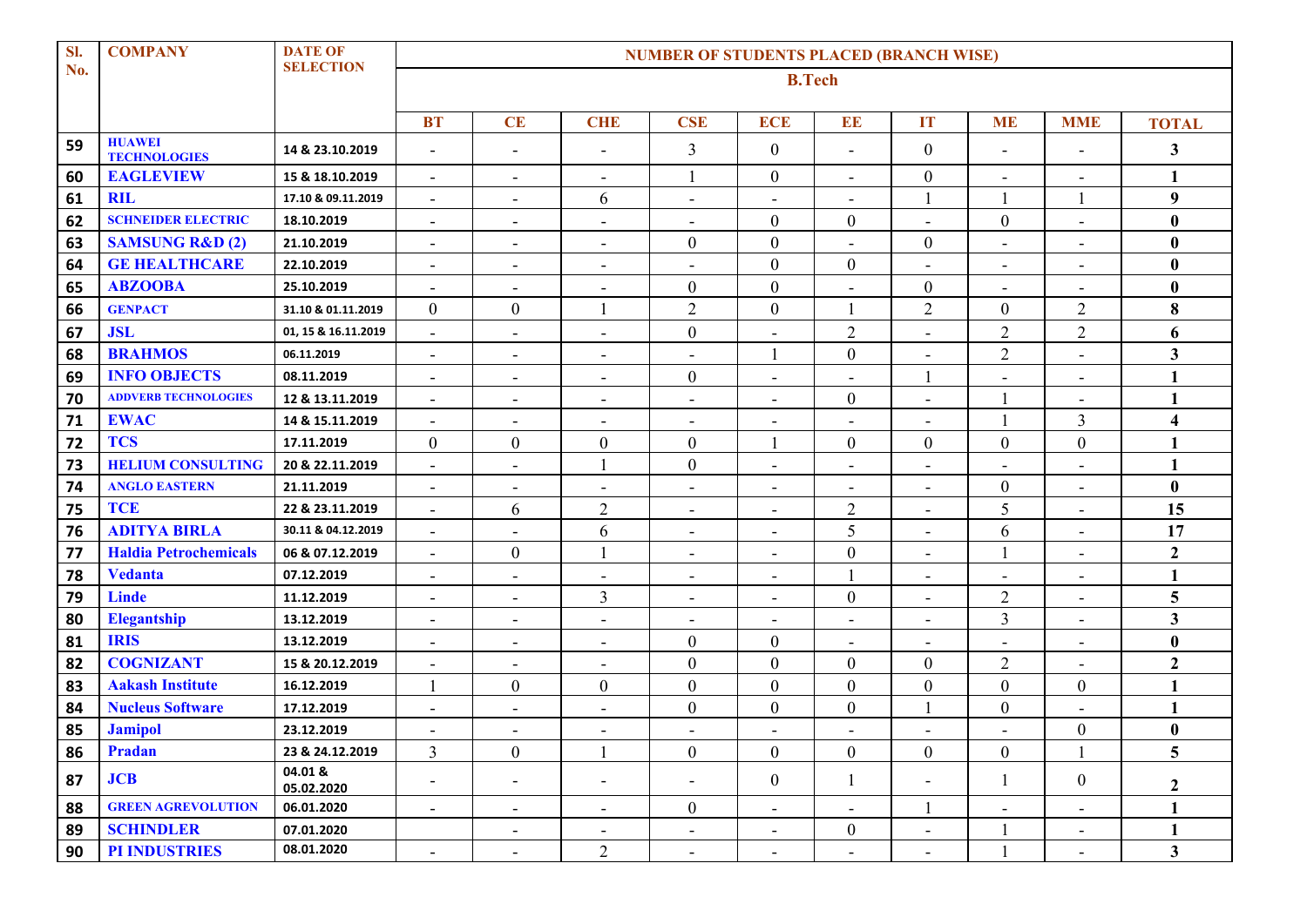| Sl. | <b>COMPANY</b>                       | <b>DATE OF</b>        | <b>NUMBER OF STUDENTS PLACED (BRANCH WISE)</b> |                          |                              |                          |                          |                          |                              |                          |                              |                         |  |
|-----|--------------------------------------|-----------------------|------------------------------------------------|--------------------------|------------------------------|--------------------------|--------------------------|--------------------------|------------------------------|--------------------------|------------------------------|-------------------------|--|
| No. |                                      | <b>SELECTION</b>      | <b>B.Tech</b>                                  |                          |                              |                          |                          |                          |                              |                          |                              |                         |  |
|     |                                      |                       | <b>BT</b>                                      | CE                       | <b>CHE</b>                   | <b>CSE</b>               | <b>ECE</b>               | EE                       | IT                           | <b>ME</b>                | <b>MME</b>                   | <b>TOTAL</b>            |  |
| 59  | <b>HUAWEI</b><br><b>TECHNOLOGIES</b> | 14 & 23.10.2019       |                                                | $\blacksquare$           | $\blacksquare$               | 3                        | $\boldsymbol{0}$         | $\overline{\phantom{a}}$ | $\boldsymbol{0}$             | $\blacksquare$           | $\blacksquare$               | 3                       |  |
| 60  | <b>EAGLEVIEW</b>                     | 15 & 18.10.2019       | $\sim$                                         | $\blacksquare$           | $\blacksquare$               |                          | $\boldsymbol{0}$         | $\blacksquare$           | $\boldsymbol{0}$             | $\overline{\phantom{a}}$ | $\overline{\phantom{a}}$     | 1                       |  |
| 61  | <b>RIL</b>                           | 17.10 & 09.11.2019    | $\blacksquare$                                 | $\blacksquare$           | 6                            | $\sim$                   | $\overline{\phantom{a}}$ | $\blacksquare$           |                              | 1                        |                              | 9                       |  |
| 62  | <b>SCHNEIDER ELECTRIC</b>            | 18.10.2019            | $\overline{\phantom{a}}$                       | $\overline{\phantom{a}}$ | ٠                            | $\overline{\phantom{a}}$ | $\boldsymbol{0}$         | $\boldsymbol{0}$         | $\overline{\phantom{a}}$     | $\boldsymbol{0}$         | $\overline{\phantom{a}}$     | $\bf{0}$                |  |
| 63  | <b>SAMSUNG R&amp;D (2)</b>           | 21.10.2019            | $\blacksquare$                                 | $\blacksquare$           | $\overline{\phantom{a}}$     | $\boldsymbol{0}$         | $\boldsymbol{0}$         | $\blacksquare$           | $\boldsymbol{0}$             | $\blacksquare$           | $\blacksquare$               | $\bf{0}$                |  |
| 64  | <b>GE HEALTHCARE</b>                 | 22.10.2019            | $\qquad \qquad \blacksquare$                   | $\overline{\phantom{a}}$ | $\qquad \qquad \blacksquare$ | $\overline{\phantom{a}}$ | $\boldsymbol{0}$         | $\boldsymbol{0}$         | $\blacksquare$               | $\overline{\phantom{a}}$ | $\overline{\phantom{a}}$     | $\bf{0}$                |  |
| 65  | <b>ABZOOBA</b>                       | 25.10.2019            | $\sim$                                         | $\blacksquare$           | $\overline{\phantom{a}}$     | $\boldsymbol{0}$         | $\boldsymbol{0}$         | $\overline{\phantom{a}}$ | $\boldsymbol{0}$             | $\blacksquare$           | $\blacksquare$               | $\bf{0}$                |  |
| 66  | <b>GENPACT</b>                       | 31.10 & 01.11.2019    | $\overline{0}$                                 | $\mathbf{0}$             | 1                            | $\overline{2}$           | $\overline{0}$           | 1                        | $\overline{2}$               | $\boldsymbol{0}$         | $\overline{2}$               | 8                       |  |
| 67  | <b>JSL</b>                           | 01, 15 & 16.11.2019   | $\blacksquare$                                 | $\overline{\phantom{a}}$ | $\overline{\phantom{a}}$     | $\boldsymbol{0}$         |                          | $\overline{2}$           |                              | $\overline{2}$           | $\sqrt{2}$                   | 6                       |  |
| 68  | <b>BRAHMOS</b>                       | 06.11.2019            | $\blacksquare$                                 | $\blacksquare$           | $\overline{\phantom{a}}$     | $\blacksquare$           |                          | $\boldsymbol{0}$         | $\blacksquare$               | $\overline{2}$           | $\overline{\phantom{a}}$     | 3                       |  |
| 69  | <b>INFO OBJECTS</b>                  | 08.11.2019            | $\blacksquare$                                 | $\blacksquare$           | $\overline{\phantom{a}}$     | $\boldsymbol{0}$         |                          | $\overline{a}$           |                              | $\blacksquare$           | $\blacksquare$               | 1                       |  |
| 70  | <b>ADDVERB TECHNOLOGIES</b>          | 12 & 13.11.2019       | $\overline{\phantom{a}}$                       | $\blacksquare$           | $\blacksquare$               | $\blacksquare$           | $\overline{\phantom{a}}$ | $\boldsymbol{0}$         | $\overline{\phantom{a}}$     | 1                        | $\overline{\phantom{a}}$     | 1                       |  |
| 71  | <b>EWAC</b>                          | 14 & 15.11.2019       | $\blacksquare$                                 | $\blacksquare$           | $\overline{\phantom{a}}$     | $\overline{\phantom{a}}$ | $\overline{\phantom{a}}$ | $\blacksquare$           | $\blacksquare$               | 1                        | $\overline{3}$               | $\overline{\mathbf{4}}$ |  |
| 72  | <b>TCS</b>                           | 17.11.2019            | $\boldsymbol{0}$                               | $\boldsymbol{0}$         | $\boldsymbol{0}$             | $\boldsymbol{0}$         |                          | $\boldsymbol{0}$         | $\boldsymbol{0}$             | $\mathbf{0}$             | $\boldsymbol{0}$             | 1                       |  |
| 73  | <b>HELIUM CONSULTING</b>             | 20 & 22.11.2019       | $\blacksquare$                                 | $\blacksquare$           |                              | $\boldsymbol{0}$         | $\overline{\phantom{a}}$ | $\blacksquare$           | $\blacksquare$               | $\blacksquare$           | $\blacksquare$               | 1                       |  |
| 74  | <b>ANGLO EASTERN</b>                 | 21.11.2019            | $\sim$                                         | $\overline{\phantom{a}}$ | $\overline{\phantom{a}}$     | $\overline{\phantom{a}}$ | $\overline{\phantom{a}}$ | $\overline{\phantom{a}}$ | $\overline{\phantom{a}}$     | $\boldsymbol{0}$         | $\blacksquare$               | $\bf{0}$                |  |
| 75  | <b>TCE</b>                           | 22 & 23.11.2019       | $\overline{\phantom{a}}$                       | 6                        | $\overline{2}$               | $\overline{\phantom{a}}$ | $\overline{\phantom{a}}$ | $\overline{2}$           | $\qquad \qquad \blacksquare$ | 5                        | $\qquad \qquad \blacksquare$ | 15                      |  |
| 76  | <b>ADITYA BIRLA</b>                  | 30.11 & 04.12.2019    | $\blacksquare$                                 | $\overline{\phantom{a}}$ | 6                            | $\blacksquare$           | $\overline{\phantom{a}}$ | 5                        | $\blacksquare$               | 6                        | $\overline{\phantom{a}}$     | 17                      |  |
| 77  | <b>Haldia Petrochemicals</b>         | 06 & 07.12.2019       | $\blacksquare$                                 | $\overline{0}$           |                              | $\blacksquare$           | $\overline{\phantom{0}}$ | $\boldsymbol{0}$         | $\overline{a}$               | $\mathbf{1}$             | $\blacksquare$               | $\mathbf{2}$            |  |
| 78  | <b>Vedanta</b>                       | 07.12.2019            | $\blacksquare$                                 | $\blacksquare$           | $\blacksquare$               | $\blacksquare$           | $\overline{\phantom{a}}$ |                          | $\overline{\phantom{a}}$     | $\blacksquare$           | $\overline{\phantom{a}}$     | 1                       |  |
| 79  | <b>Linde</b>                         | 11.12.2019            | $\blacksquare$                                 | $\blacksquare$           | 3                            | $\overline{\phantom{a}}$ | $\overline{\phantom{a}}$ | $\boldsymbol{0}$         | $\blacksquare$               | $\overline{2}$           | $\overline{\phantom{a}}$     | 5                       |  |
| 80  | <b>Elegantship</b>                   | 13.12.2019            | $\overline{\phantom{a}}$                       | $\blacksquare$           | $\overline{\phantom{a}}$     | $\overline{\phantom{a}}$ |                          | $\overline{\phantom{a}}$ |                              | 3                        | $\blacksquare$               | 3                       |  |
| 81  | <b>IRIS</b>                          | 13.12.2019            | $\blacksquare$                                 | $\overline{\phantom{a}}$ | $\overline{\phantom{a}}$     | $\boldsymbol{0}$         | $\boldsymbol{0}$         | $\blacksquare$           | $\blacksquare$               | $\blacksquare$           | $\blacksquare$               | $\bf{0}$                |  |
| 82  | <b>COGNIZANT</b>                     | 15 & 20.12.2019       | $\blacksquare$                                 | $\overline{\phantom{a}}$ | $\blacksquare$               | $\boldsymbol{0}$         | $\boldsymbol{0}$         | $\mathbf{0}$             | $\boldsymbol{0}$             | $\overline{2}$           | $\blacksquare$               | $\mathbf{2}$            |  |
| 83  | <b>Aakash Institute</b>              | 16.12.2019            |                                                | $\boldsymbol{0}$         | $\mathbf{0}$                 | $\boldsymbol{0}$         | $\boldsymbol{0}$         | $\boldsymbol{0}$         | $\mathbf{0}$                 | $\boldsymbol{0}$         | $\boldsymbol{0}$             | 1                       |  |
| 84  | <b>Nucleus Software</b>              | 17.12.2019            | $\blacksquare$                                 | $\blacksquare$           | $\overline{\phantom{a}}$     | $\boldsymbol{0}$         | $\boldsymbol{0}$         | $\boldsymbol{0}$         |                              | $\boldsymbol{0}$         | ÷,                           | 1                       |  |
| 85  | <b>Jamipol</b>                       | 23.12.2019            | $\overline{\phantom{a}}$                       | $\overline{\phantom{a}}$ | $\overline{\phantom{a}}$     |                          | $\overline{\phantom{a}}$ | $\overline{\phantom{a}}$ |                              | $\blacksquare$           | $\boldsymbol{0}$             | $\bf{0}$                |  |
| 86  | Pradan                               | 23 & 24.12.2019       | 3                                              | $\boldsymbol{0}$         |                              | $\mathbf{0}$             | $\boldsymbol{0}$         | $\boldsymbol{0}$         | $\boldsymbol{0}$             | $\overline{0}$           |                              | 5                       |  |
| 87  | JCB                                  | 04.01 &<br>05.02.2020 | $\overline{\phantom{a}}$                       | $\overline{\phantom{a}}$ | $\overline{\phantom{a}}$     | $\overline{\phantom{a}}$ | $\boldsymbol{0}$         | $\mathbf{1}$             | $\overline{\phantom{a}}$     | $\mathbf{1}$             | $\overline{0}$               | $\boldsymbol{2}$        |  |
| 88  | <b>GREEN AGREVOLUTION</b>            | 06.01.2020            | $\sim$                                         | $\sim$                   | $\blacksquare$               | $\boldsymbol{0}$         | $\blacksquare$           | $\blacksquare$           |                              | $\blacksquare$           | $\sim$                       | 1                       |  |
| 89  | <b>SCHINDLER</b>                     | 07.01.2020            |                                                | $\overline{\phantom{a}}$ | $\overline{\phantom{a}}$     | $\blacksquare$           | $\overline{\phantom{a}}$ | $\boldsymbol{0}$         | $\overline{\phantom{a}}$     |                          | $\sim$                       | 1                       |  |
| 90  | PI INDUSTRIES                        | 08.01.2020            | $\overline{\phantom{a}}$                       | $\overline{\phantom{a}}$ | $\overline{2}$               | $\blacksquare$           | $\overline{\phantom{a}}$ | $\overline{\phantom{a}}$ | $\overline{\phantom{a}}$     | $\mathbf{1}$             | $\qquad \qquad \blacksquare$ | $\mathbf{3}$            |  |